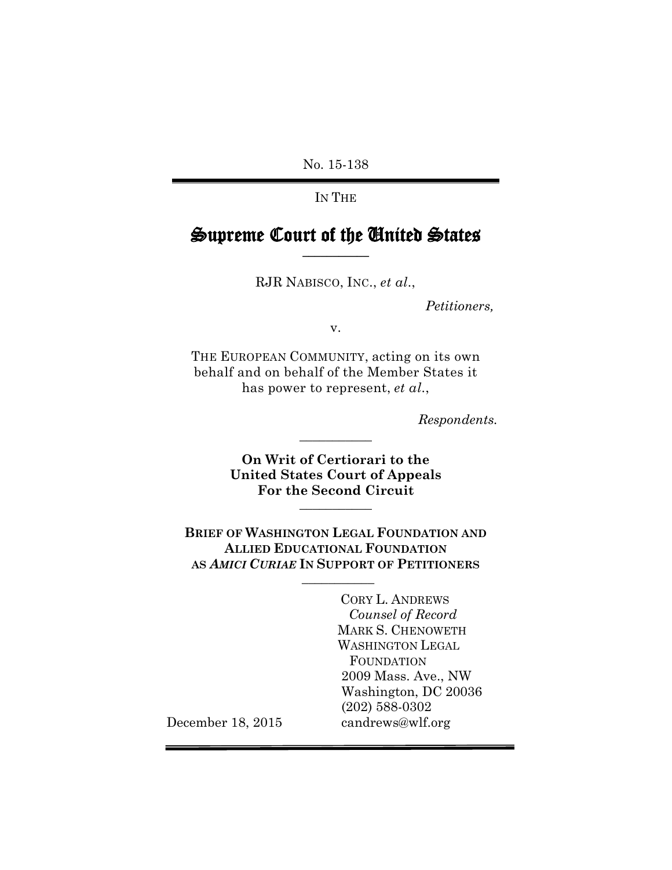No. 15-138

IN THE

## Supreme Court of the United States **\_\_\_\_\_\_\_\_\_\_\_**

RJR NABISCO, INC., *et al*.,

 *Petitioners,*

v.

THE EUROPEAN COMMUNITY, acting on its own behalf and on behalf of the Member States it has power to represent, *et al*.,

*Respondents.*

**On Writ of Certiorari to the United States Court of Appeals For the Second Circuit \_\_\_\_\_\_\_\_\_\_\_**

**\_\_\_\_\_\_\_\_\_\_\_**

**BRIEF OF WASHINGTON LEGAL FOUNDATION AND ALLIED EDUCATIONAL FOUNDATION AS** *AMICI CURIAE* **IN SUPPORT OF PETITIONERS**

**\_\_\_\_\_\_\_\_\_\_\_**

CORY L. ANDREWS *Counsel of Record* MARK S. CHENOWETH WASHINGTON LEGAL FOUNDATION 2009 Mass. Ave., NW Washington, DC 20036 (202) 588-0302 candrews@wlf.org

December 18, 2015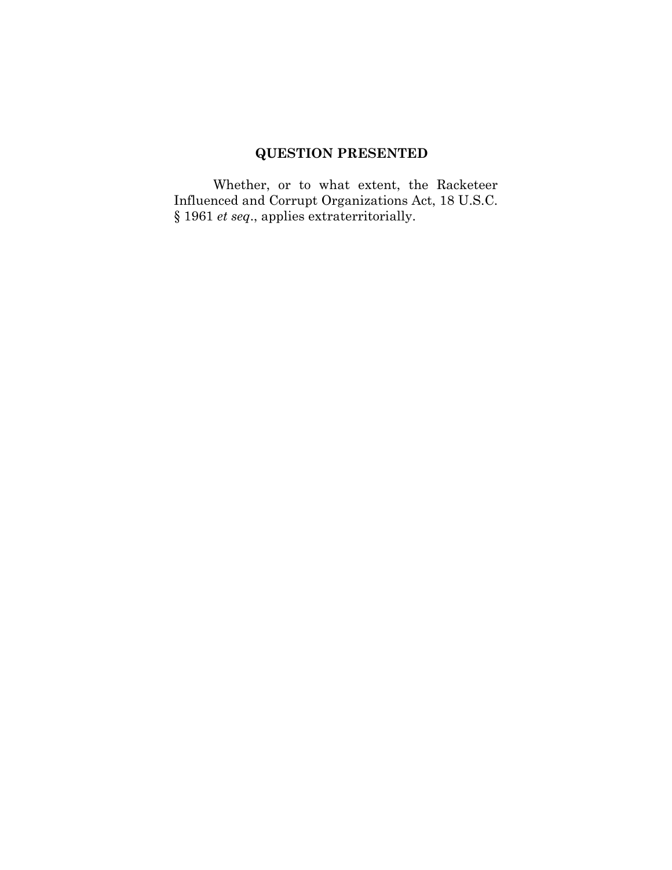# **QUESTION PRESENTED**

Whether, or to what extent, the Racketeer Influenced and Corrupt Organizations Act, 18 U.S.C. § 1961 *et seq*., applies extraterritorially.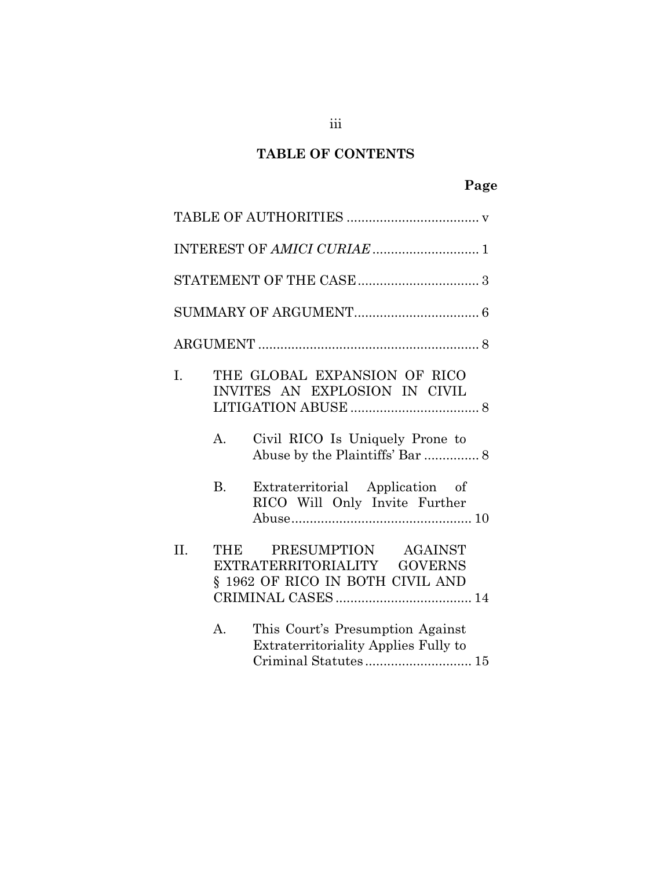## **TABLE OF CONTENTS**

## **Page**

|     |                          | INTEREST OF AMICI CURIAE  1                                                                                                                                                                             |
|-----|--------------------------|---------------------------------------------------------------------------------------------------------------------------------------------------------------------------------------------------------|
|     |                          |                                                                                                                                                                                                         |
|     |                          |                                                                                                                                                                                                         |
|     |                          |                                                                                                                                                                                                         |
| I.  | $A_{\cdot}$<br><b>B.</b> | THE GLOBAL EXPANSION OF RICO<br>INVITES AN EXPLOSION IN CIVIL<br>Civil RICO Is Uniquely Prone to<br>Abuse by the Plaintiffs' Bar  8<br>Extraterritorial Application of<br>RICO Will Only Invite Further |
| II. | THE                      | PRESUMPTION AGAINST<br>EXTRATERRITORIALITY GOVERNS<br>§ 1962 OF RICO IN BOTH CIVIL AND                                                                                                                  |
|     | A.                       | This Court's Presumption Against<br><b>Extraterritoriality Applies Fully to</b><br>Criminal Statutes 15                                                                                                 |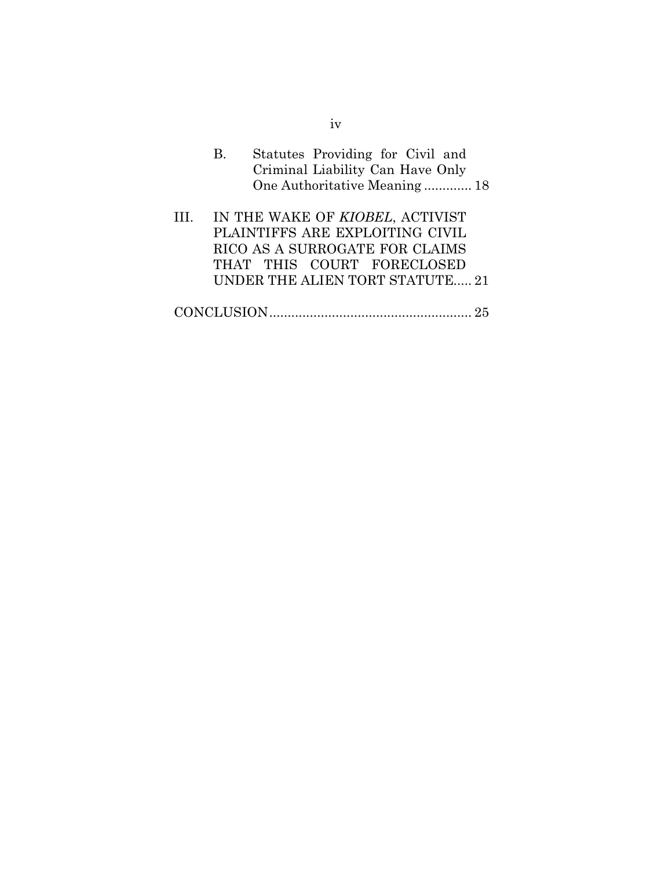- B. Statutes Providing for Civil and Criminal Liability Can Have Only One Authoritative Meaning ............. 18
- III. IN THE WAKE OF *KIOBEL*, ACTIVIST PLAINTIFFS ARE EXPLOITING CIVIL RICO AS A SURROGATE FOR CLAIMS THAT THIS COURT FORECLOSED UNDER THE ALIEN TORT STATUTE..... 21
- CONCLUSION....................................................... 25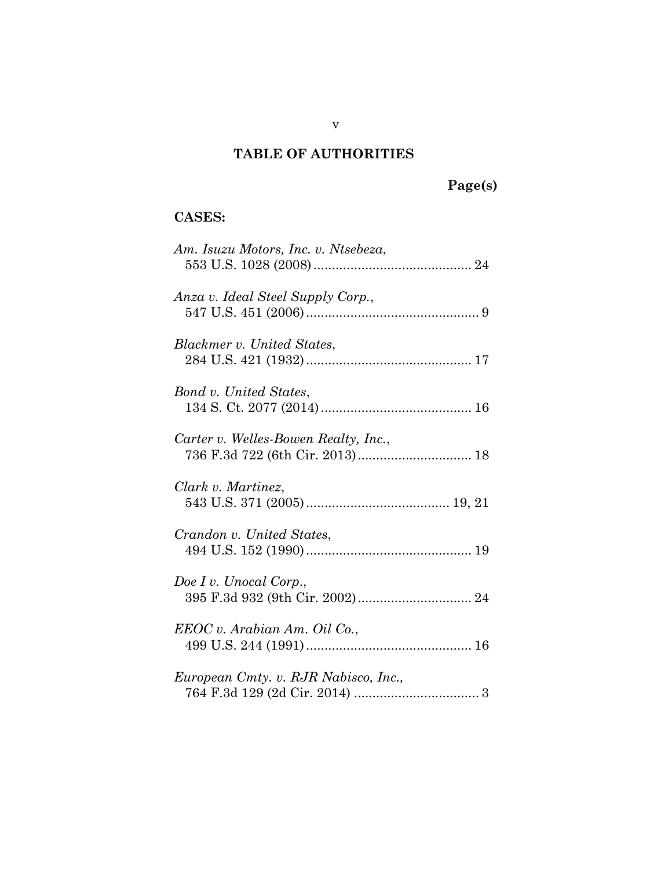## **TABLE OF AUTHORITIES**

# **Page(s)**

## **CASES:**

| Am. Isuzu Motors, Inc. v. Ntsebeza,                                     |
|-------------------------------------------------------------------------|
| Anza v. Ideal Steel Supply Corp.,                                       |
| Blackmer v. United States,                                              |
| Bond v. United States,                                                  |
| Carter v. Welles-Bowen Realty, Inc.,<br>736 F.3d 722 (6th Cir. 2013) 18 |
| Clark v. Martinez,                                                      |
| Crandon v. United States,                                               |
| Doe I v. Unocal Corp.,                                                  |
| EEOC v. Arabian Am. Oil Co.,                                            |
| European Cmty. v. RJR Nabisco, Inc.,                                    |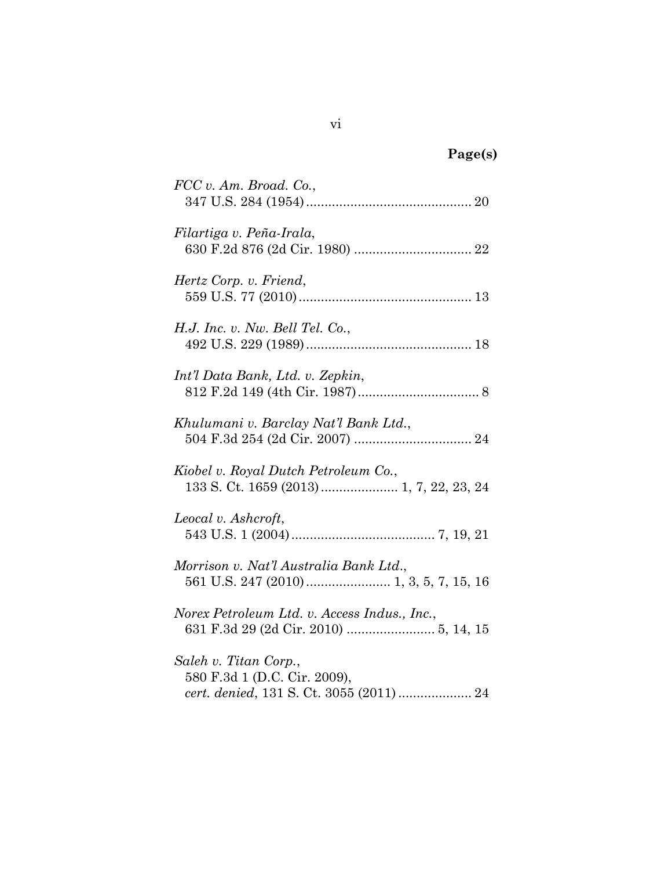# **Page(s)**

| $FCC$ v. Am. Broad. Co.,                                                                         |
|--------------------------------------------------------------------------------------------------|
| Filartiga v. Peña-Irala,                                                                         |
| Hertz Corp. v. Friend,                                                                           |
| H.J. Inc. v. Nw. Bell Tel. Co.,                                                                  |
| Int'l Data Bank, Ltd. v. Zepkin,                                                                 |
| Khulumani v. Barclay Nat'l Bank Ltd.,                                                            |
| Kiobel v. Royal Dutch Petroleum Co.,                                                             |
| Leocal v. Ashcroft,                                                                              |
| Morrison v. Nat'l Australia Bank Ltd.,                                                           |
| Norex Petroleum Ltd. v. Access Indus., Inc.,                                                     |
| Saleh v. Titan Corp.,<br>580 F.3d 1 (D.C. Cir. 2009),<br>cert. denied, 131 S. Ct. 3055 (2011) 24 |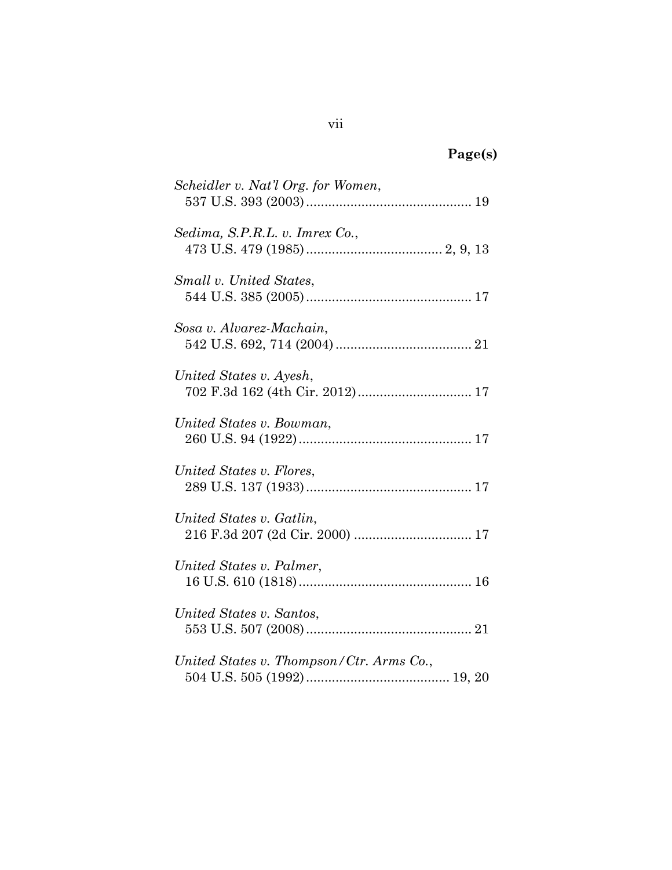| σeι<br>ш<br>г. | ۰. |
|----------------|----|
|----------------|----|

| Scheidler v. Nat'l Org. for Women,                         |
|------------------------------------------------------------|
| Sedima, S.P.R.L. v. Imrex Co.,                             |
| Small v. United States,                                    |
| Sosa v. Alvarez-Machain,                                   |
| United States v. Ayesh,<br>702 F.3d 162 (4th Cir. 2012) 17 |
| United States v. Bowman,                                   |
| United States v. Flores,                                   |
| United States v. Gatlin,                                   |
| United States v. Palmer,                                   |
| United States v. Santos,                                   |
| United States v. Thompson/Ctr. Arms Co.,                   |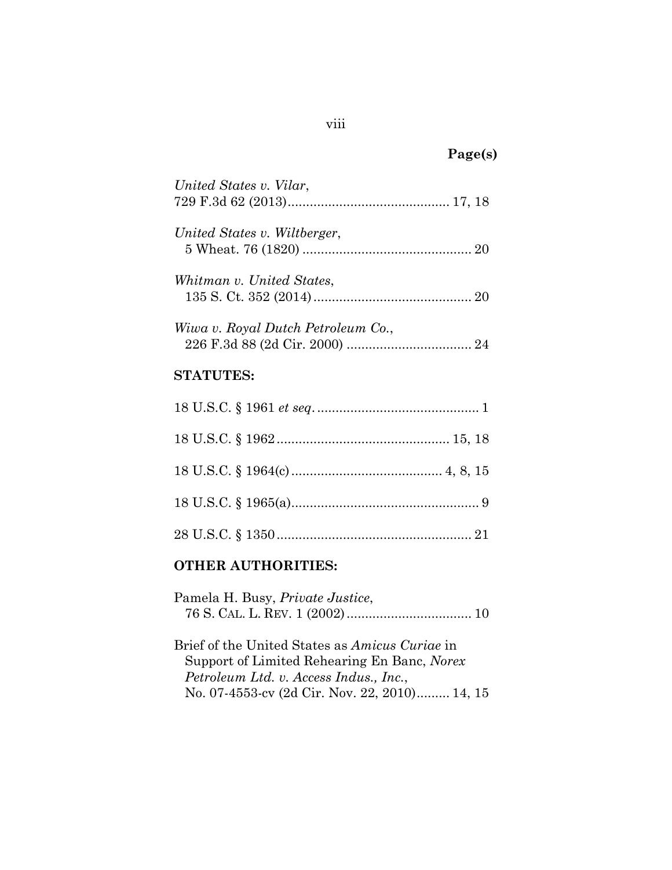## **Page(s)**

| United States v. Vilar,            |
|------------------------------------|
| United States v. Wiltberger,       |
| Whitman v. United States.          |
| Wiwa v. Royal Dutch Petroleum Co., |
| <b>STATUTES:</b>                   |

# 18 U.S.C. § 1961 *et seq*............................................. 1 18 U.S.C. § 1962............................................... 15, 18 18 U.S.C. § 1964(c)......................................... 4, 8, 15 18 U.S.C. § 1965(a)................................................... 9 28 U.S.C. § 1350..................................................... 21

## **OTHER AUTHORITIES:**

| Pamela H. Busy, <i>Private Justice</i> , |  |
|------------------------------------------|--|
|                                          |  |

Brief of the United States as *Amicus Curiae* in Support of Limited Rehearing En Banc, *Norex Petroleum Ltd. v. Access Indus., Inc.*, No. 07-4553-cv (2d Cir. Nov. 22, 2010)......... 14, 15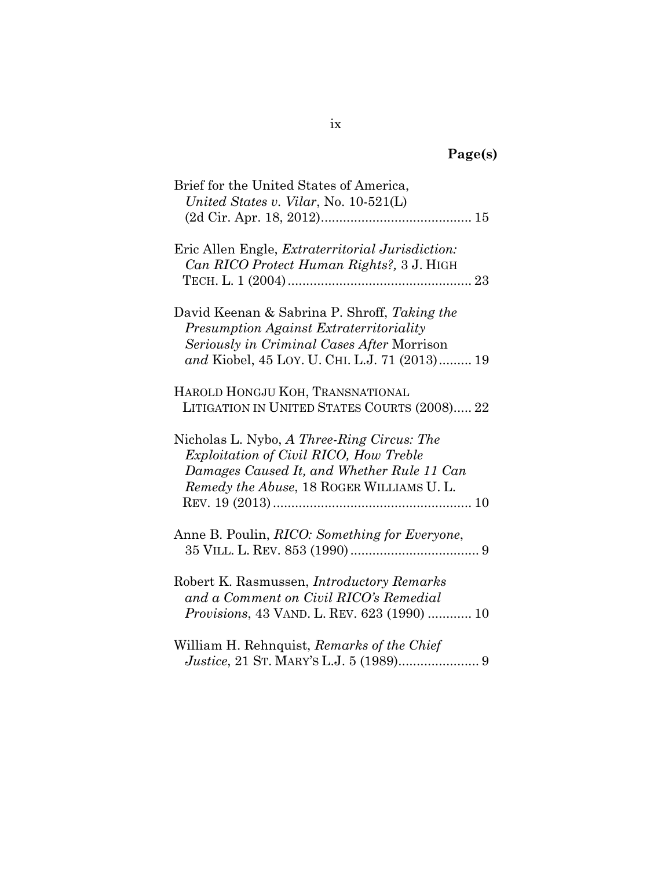| Brief for the United States of America,<br>United States v. Vilar, No. 10-521(L)                                                                                                       |
|----------------------------------------------------------------------------------------------------------------------------------------------------------------------------------------|
| Eric Allen Engle, <i>Extraterritorial Jurisdiction</i> :<br>Can RICO Protect Human Rights?, 3 J. HIGH                                                                                  |
| David Keenan & Sabrina P. Shroff, Taking the<br>Presumption Against Extraterritoriality<br>Seriously in Criminal Cases After Morrison<br>and Kiobel, 45 LOY. U. CHI. L.J. 71 (2013) 19 |
| HAROLD HONGJU KOH, TRANSNATIONAL<br>LITIGATION IN UNITED STATES COURTS (2008) 22                                                                                                       |
| Nicholas L. Nybo, A Three-Ring Circus: The<br>Exploitation of Civil RICO, How Treble<br>Damages Caused It, and Whether Rule 11 Can<br>Remedy the Abuse, 18 ROGER WILLIAMS U.L.         |
| Anne B. Poulin, <i>RICO</i> : Something for Everyone,                                                                                                                                  |
| Robert K. Rasmussen, <i>Introductory Remarks</i><br>and a Comment on Civil RICO's Remedial<br><i>Provisions, 43 VAND. L. REV. 623 (1990)  10</i>                                       |
| William H. Rehnquist, Remarks of the Chief                                                                                                                                             |

 *Justice*, 21 ST. MARY'S L.J. 5 (1989)...................... 9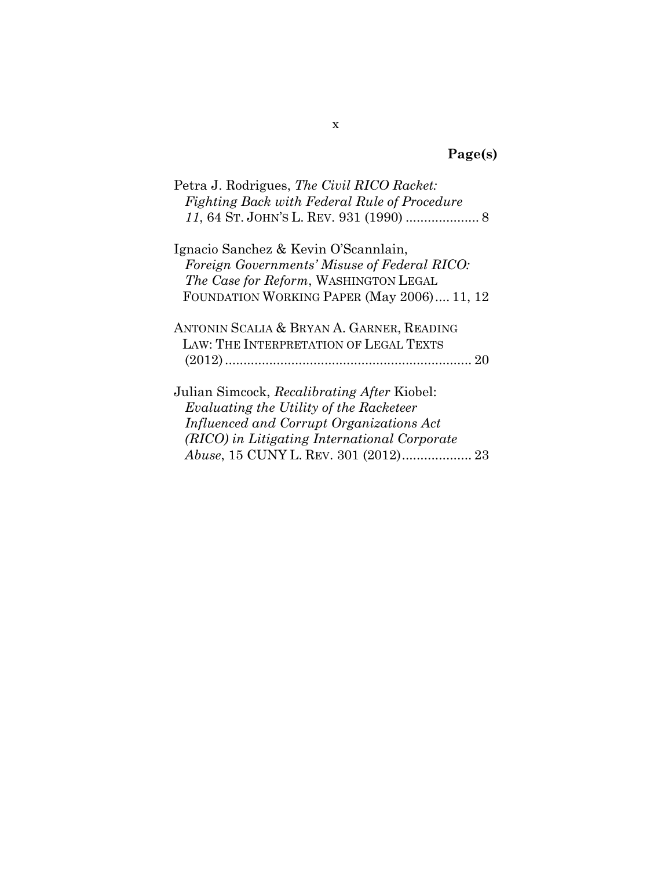# **Page(s)**

| Petra J. Rodrigues, <i>The Civil RICO Racket</i> :<br>Fighting Back with Federal Rule of Procedure |
|----------------------------------------------------------------------------------------------------|
| Ignacio Sanchez & Kevin O'Scannlain,                                                               |
| Foreign Governments' Misuse of Federal RICO:                                                       |
| The Case for Reform, WASHINGTON LEGAL                                                              |
| FOUNDATION WORKING PAPER (May 2006) 11, 12                                                         |
| ANTONIN SCALIA & BRYAN A. GARNER, READING                                                          |
| LAW: THE INTERPRETATION OF LEGAL TEXTS                                                             |
|                                                                                                    |
| Julian Simcock, Recalibrating After Kiobel:                                                        |
| Evaluating the Utility of the Racketeer                                                            |
| Influenced and Corrupt Organizations Act                                                           |
| (RICO) in Litigating International Corporate                                                       |
|                                                                                                    |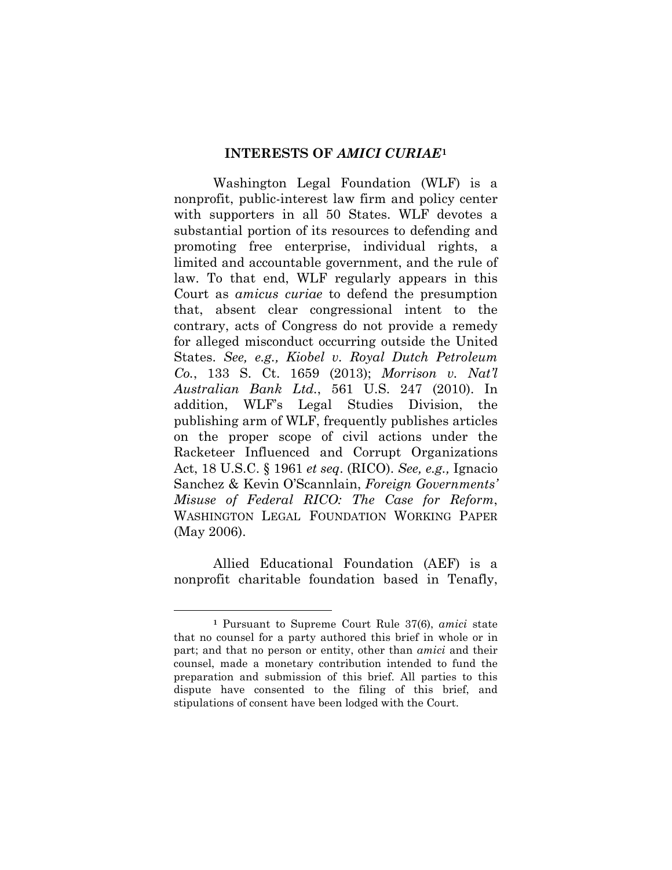#### **INTERESTS OF** *AMICI CURIAE***[1](#page-10-0)**

Washington Legal Foundation (WLF) is a nonprofit, public-interest law firm and policy center with supporters in all 50 States. WLF devotes a substantial portion of its resources to defending and promoting free enterprise, individual rights, a limited and accountable government, and the rule of law. To that end, WLF regularly appears in this Court as *amicus curiae* to defend the presumption that, absent clear congressional intent to the contrary, acts of Congress do not provide a remedy for alleged misconduct occurring outside the United States. *See, e.g., Kiobel v. Royal Dutch Petroleum Co.*, 133 S. Ct. 1659 (2013); *Morrison v. Nat'l Australian Bank Ltd.*, 561 U.S. 247 (2010). In addition, WLF's Legal Studies Division, the publishing arm of WLF, frequently publishes articles on the proper scope of civil actions under the Racketeer Influenced and Corrupt Organizations Act, 18 U.S.C. § 1961 *et seq*. (RICO). *See, e.g.,* Ignacio Sanchez & Kevin O'Scannlain, *Foreign Governments' Misuse of Federal RICO: The Case for Reform*, WASHINGTON LEGAL FOUNDATION WORKING PAPER (May 2006).

Allied Educational Foundation (AEF) is a nonprofit charitable foundation based in Tenafly,

 $\overline{a}$ 

<span id="page-10-0"></span>**<sup>1</sup>** Pursuant to Supreme Court Rule 37(6), *amici* state that no counsel for a party authored this brief in whole or in part; and that no person or entity, other than *amici* and their counsel, made a monetary contribution intended to fund the preparation and submission of this brief. All parties to this dispute have consented to the filing of this brief, and stipulations of consent have been lodged with the Court.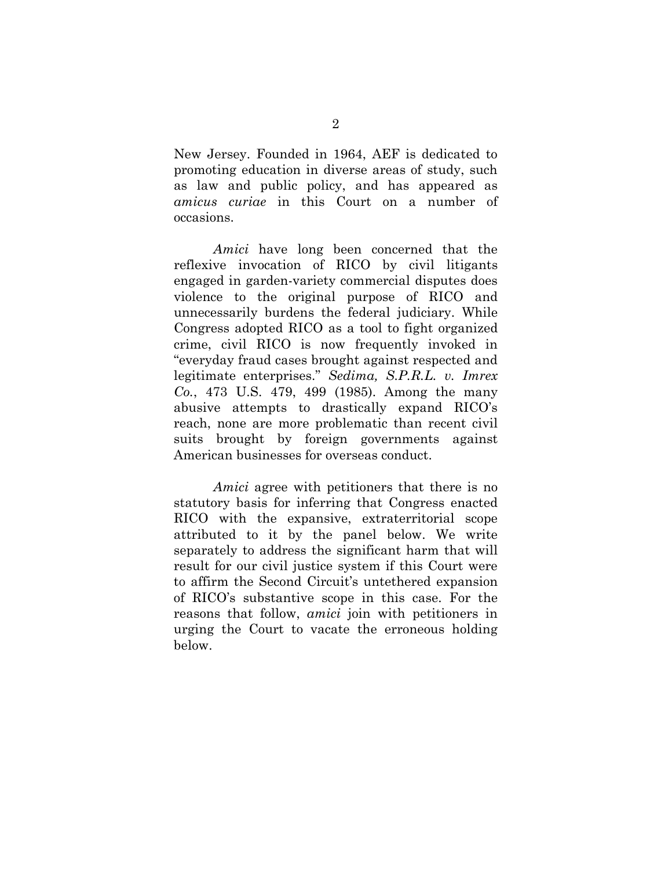New Jersey. Founded in 1964, AEF is dedicated to promoting education in diverse areas of study, such as law and public policy, and has appeared as *amicus curiae* in this Court on a number of occasions.

*Amici* have long been concerned that the reflexive invocation of RICO by civil litigants engaged in garden-variety commercial disputes does violence to the original purpose of RICO and unnecessarily burdens the federal judiciary. While Congress adopted RICO as a tool to fight organized crime, civil RICO is now frequently invoked in "everyday fraud cases brought against respected and legitimate enterprises." *Sedima, S.P.R.L. v. Imrex Co.*, 473 U.S. 479, 499 (1985). Among the many abusive attempts to drastically expand RICO's reach, none are more problematic than recent civil suits brought by foreign governments against American businesses for overseas conduct.

*Amici* agree with petitioners that there is no statutory basis for inferring that Congress enacted RICO with the expansive, extraterritorial scope attributed to it by the panel below. We write separately to address the significant harm that will result for our civil justice system if this Court were to affirm the Second Circuit's untethered expansion of RICO's substantive scope in this case. For the reasons that follow, *amici* join with petitioners in urging the Court to vacate the erroneous holding below.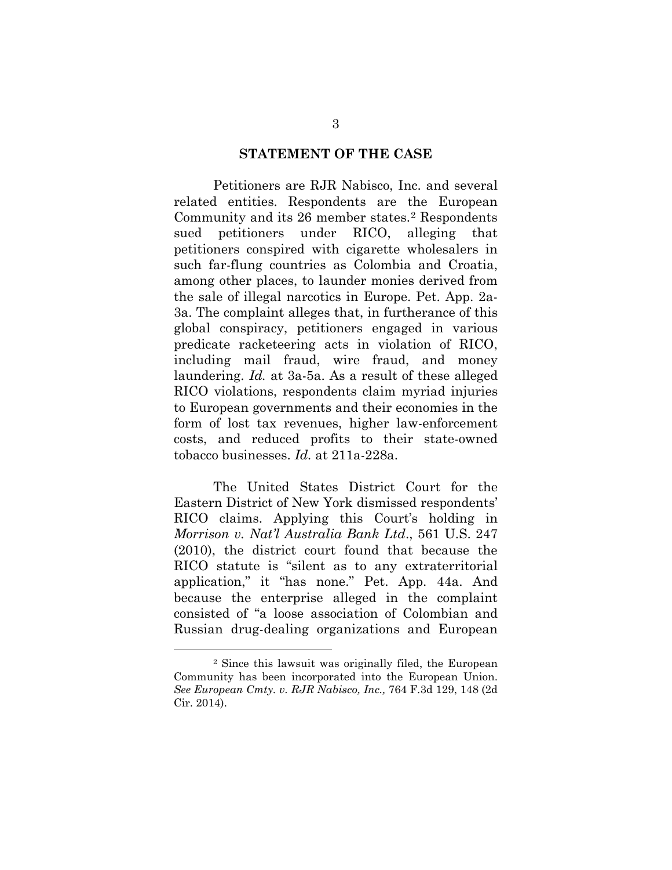#### **STATEMENT OF THE CASE**

Petitioners are RJR Nabisco, Inc. and several related entities. Respondents are the European Community and its 26 member states.[2](#page-12-0) Respondents sued petitioners under RICO, alleging that petitioners conspired with cigarette wholesalers in such far-flung countries as Colombia and Croatia, among other places, to launder monies derived from the sale of illegal narcotics in Europe. Pet. App. 2a-3a. The complaint alleges that, in furtherance of this global conspiracy, petitioners engaged in various predicate racketeering acts in violation of RICO, including mail fraud, wire fraud, and money laundering. *Id.* at 3a-5a. As a result of these alleged RICO violations, respondents claim myriad injuries to European governments and their economies in the form of lost tax revenues, higher law-enforcement costs, and reduced profits to their state-owned tobacco businesses. *Id.* at 211a-228a.

The United States District Court for the Eastern District of New York dismissed respondents' RICO claims. Applying this Court's holding in *Morrison v. Nat'l Australia Bank Ltd*., 561 U.S. 247 (2010), the district court found that because the RICO statute is "silent as to any extraterritorial application," it "has none." Pet. App. 44a. And because the enterprise alleged in the complaint consisted of "a loose association of Colombian and Russian drug-dealing organizations and European

 $\overline{a}$ 

<span id="page-12-0"></span><sup>2</sup> Since this lawsuit was originally filed, the European Community has been incorporated into the European Union. *See European Cmty. v. RJR Nabisco, Inc.,* 764 F.3d 129, 148 (2d Cir. 2014).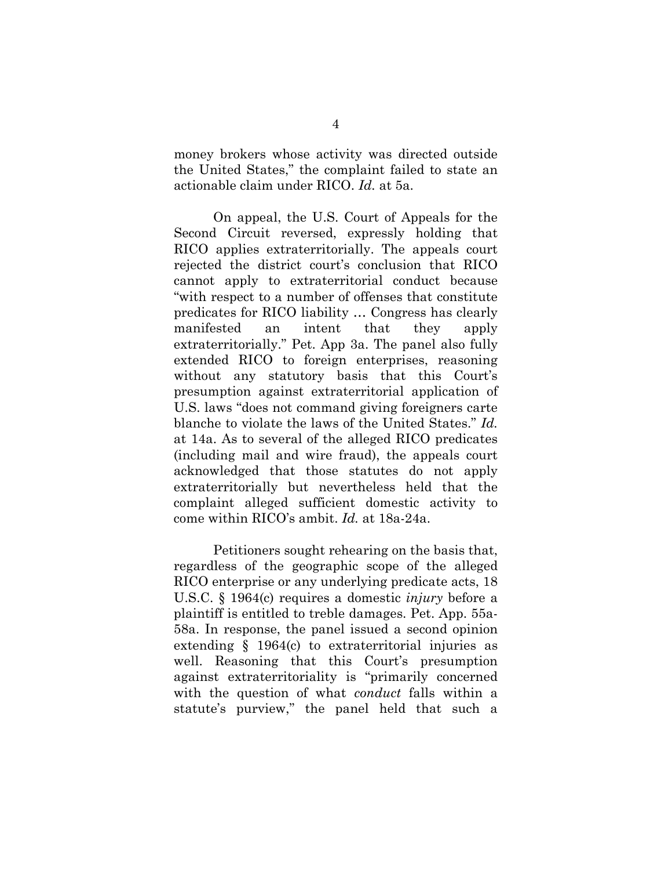money brokers whose activity was directed outside the United States," the complaint failed to state an actionable claim under RICO. *Id.* at 5a.

On appeal, the U.S. Court of Appeals for the Second Circuit reversed, expressly holding that RICO applies extraterritorially. The appeals court rejected the district court's conclusion that RICO cannot apply to extraterritorial conduct because "with respect to a number of offenses that constitute predicates for RICO liability … Congress has clearly manifested an intent that they apply extraterritorially." Pet. App 3a. The panel also fully extended RICO to foreign enterprises, reasoning without any statutory basis that this Court's presumption against extraterritorial application of U.S. laws "does not command giving foreigners carte blanche to violate the laws of the United States." *Id.* at 14a. As to several of the alleged RICO predicates (including mail and wire fraud), the appeals court acknowledged that those statutes do not apply extraterritorially but nevertheless held that the complaint alleged sufficient domestic activity to come within RICO's ambit. *Id.* at 18a-24a.

Petitioners sought rehearing on the basis that, regardless of the geographic scope of the alleged RICO enterprise or any underlying predicate acts, 18 U.S.C. § 1964(c) requires a domestic *injury* before a plaintiff is entitled to treble damages. Pet. App. 55a-58a. In response, the panel issued a second opinion extending § 1964(c) to extraterritorial injuries as well. Reasoning that this Court's presumption against extraterritoriality is "primarily concerned with the question of what *conduct* falls within a statute's purview," the panel held that such a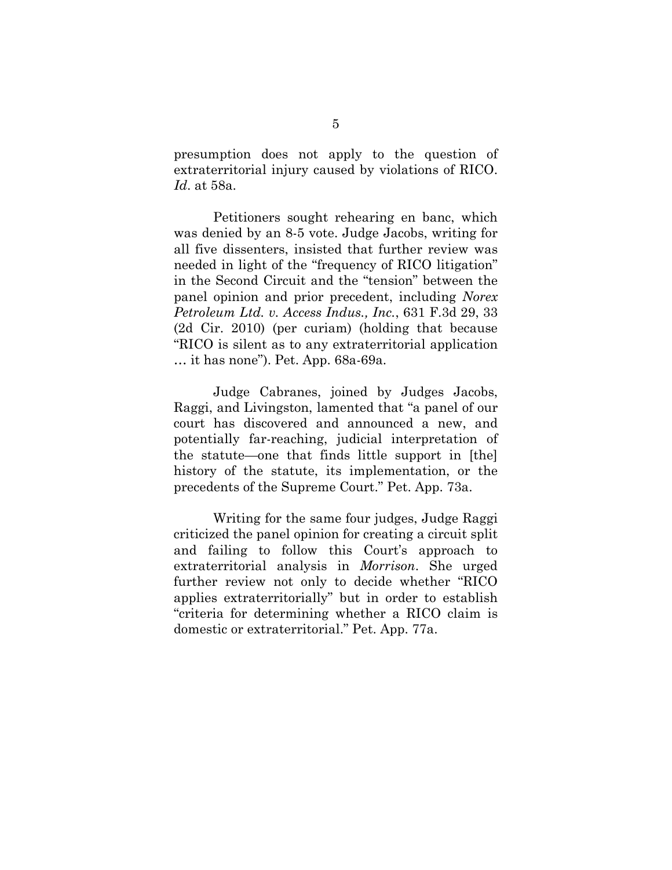presumption does not apply to the question of extraterritorial injury caused by violations of RICO. *Id*. at 58a.

Petitioners sought rehearing en banc, which was denied by an 8-5 vote. Judge Jacobs, writing for all five dissenters, insisted that further review was needed in light of the "frequency of RICO litigation" in the Second Circuit and the "tension" between the panel opinion and prior precedent, including *Norex Petroleum Ltd. v. Access Indus., Inc.*, 631 F.3d 29, 33 (2d Cir. 2010) (per curiam) (holding that because "RICO is silent as to any extraterritorial application … it has none"). Pet. App. 68a-69a.

Judge Cabranes, joined by Judges Jacobs, Raggi, and Livingston, lamented that "a panel of our court has discovered and announced a new, and potentially far-reaching, judicial interpretation of the statute—one that finds little support in [the] history of the statute, its implementation, or the precedents of the Supreme Court." Pet. App. 73a.

Writing for the same four judges, Judge Raggi criticized the panel opinion for creating a circuit split and failing to follow this Court's approach to extraterritorial analysis in *Morrison*. She urged further review not only to decide whether "RICO applies extraterritorially" but in order to establish "criteria for determining whether a RICO claim is domestic or extraterritorial." Pet. App. 77a.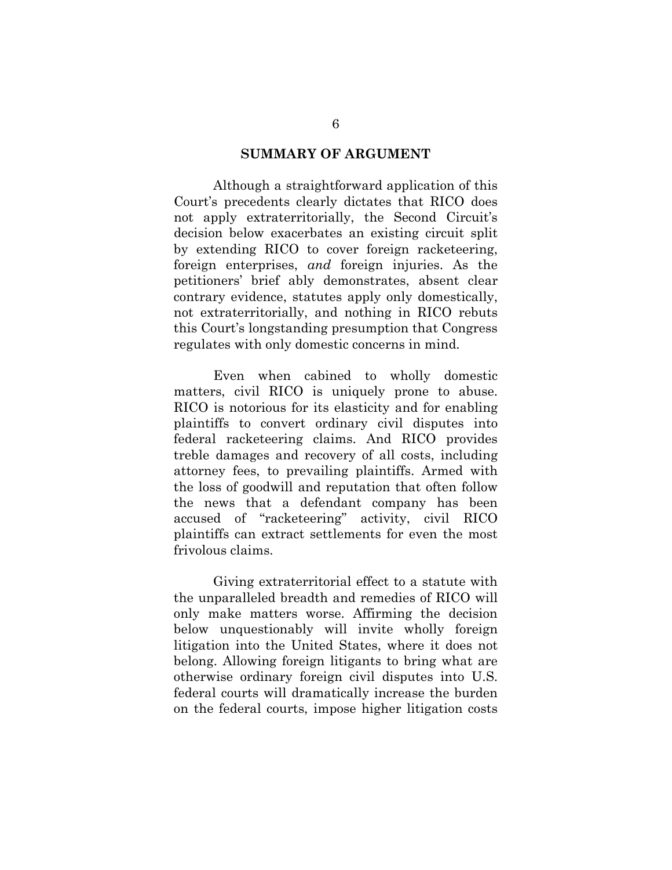#### **SUMMARY OF ARGUMENT**

Although a straightforward application of this Court's precedents clearly dictates that RICO does not apply extraterritorially, the Second Circuit's decision below exacerbates an existing circuit split by extending RICO to cover foreign racketeering, foreign enterprises, *and* foreign injuries. As the petitioners' brief ably demonstrates, absent clear contrary evidence, statutes apply only domestically, not extraterritorially, and nothing in RICO rebuts this Court's longstanding presumption that Congress regulates with only domestic concerns in mind.

Even when cabined to wholly domestic matters, civil RICO is uniquely prone to abuse. RICO is notorious for its elasticity and for enabling plaintiffs to convert ordinary civil disputes into federal racketeering claims. And RICO provides treble damages and recovery of all costs, including attorney fees, to prevailing plaintiffs. Armed with the loss of goodwill and reputation that often follow the news that a defendant company has been accused of "racketeering" activity, civil RICO plaintiffs can extract settlements for even the most frivolous claims.

Giving extraterritorial effect to a statute with the unparalleled breadth and remedies of RICO will only make matters worse. Affirming the decision below unquestionably will invite wholly foreign litigation into the United States, where it does not belong. Allowing foreign litigants to bring what are otherwise ordinary foreign civil disputes into U.S. federal courts will dramatically increase the burden on the federal courts, impose higher litigation costs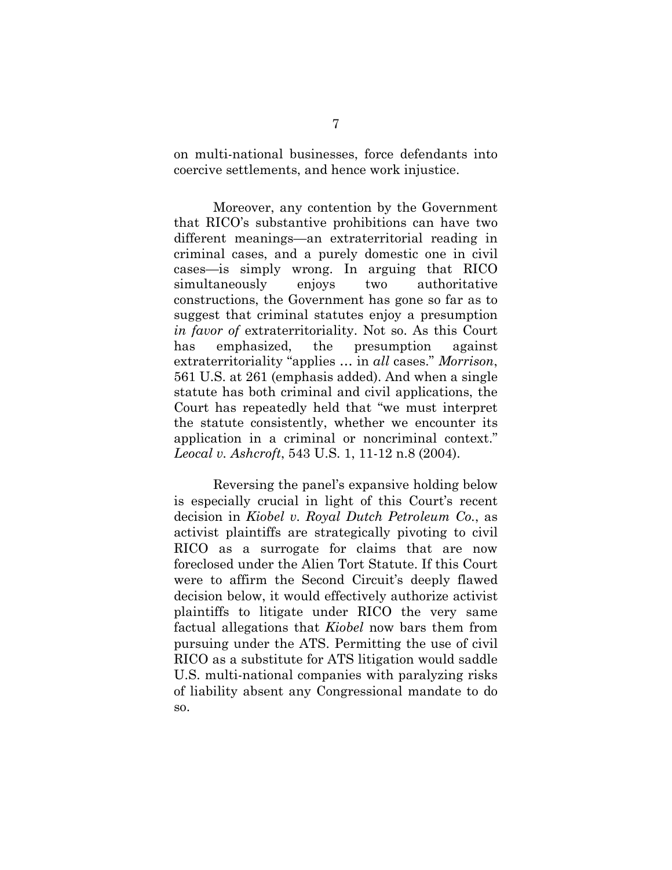on multi-national businesses, force defendants into coercive settlements, and hence work injustice.

Moreover, any contention by the Government that RICO's substantive prohibitions can have two different meanings—an extraterritorial reading in criminal cases, and a purely domestic one in civil cases—is simply wrong. In arguing that RICO simultaneously enjoys two authoritative constructions, the Government has gone so far as to suggest that criminal statutes enjoy a presumption *in favor of* extraterritoriality. Not so. As this Court has emphasized, the presumption against extraterritoriality "applies … in *all* cases." *Morrison*, 561 U.S. at 261 (emphasis added). And when a single statute has both criminal and civil applications, the Court has repeatedly held that "we must interpret the statute consistently, whether we encounter its application in a criminal or noncriminal context." *Leocal v. Ashcroft*, 543 U.S. 1, 11-12 n.8 (2004).

Reversing the panel's expansive holding below is especially crucial in light of this Court's recent decision in *Kiobel v. Royal Dutch Petroleum Co.*, as activist plaintiffs are strategically pivoting to civil RICO as a surrogate for claims that are now foreclosed under the Alien Tort Statute. If this Court were to affirm the Second Circuit's deeply flawed decision below, it would effectively authorize activist plaintiffs to litigate under RICO the very same factual allegations that *Kiobel* now bars them from pursuing under the ATS. Permitting the use of civil RICO as a substitute for ATS litigation would saddle U.S. multi-national companies with paralyzing risks of liability absent any Congressional mandate to do so.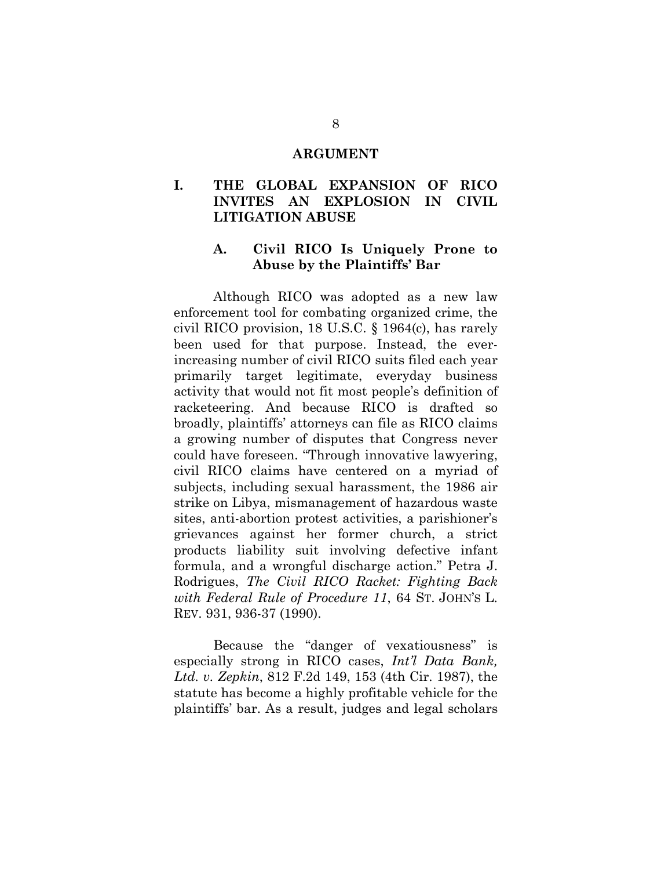#### **ARGUMENT**

#### **I. THE GLOBAL EXPANSION OF RICO INVITES AN EXPLOSION IN CIVIL LITIGATION ABUSE**

#### **A. Civil RICO Is Uniquely Prone to Abuse by the Plaintiffs' Bar**

Although RICO was adopted as a new law enforcement tool for combating organized crime, the civil RICO provision, 18 U.S.C. § 1964(c), has rarely been used for that purpose. Instead, the everincreasing number of civil RICO suits filed each year primarily target legitimate, everyday business activity that would not fit most people's definition of racketeering. And because RICO is drafted so broadly, plaintiffs' attorneys can file as RICO claims a growing number of disputes that Congress never could have foreseen. "Through innovative lawyering, civil RICO claims have centered on a myriad of subjects, including sexual harassment, the 1986 air strike on Libya, mismanagement of hazardous waste sites, anti-abortion protest activities, a parishioner's grievances against her former church, a strict products liability suit involving defective infant formula, and a wrongful discharge action." Petra J. Rodrigues, *The Civil RICO Racket: Fighting Back with Federal Rule of Procedure 11*, 64 ST. JOHN'S L. REV. 931, 936-37 (1990).

Because the "danger of vexatiousness" is especially strong in RICO cases, *Int'l Data Bank, Ltd. v. Zepkin*, 812 F.2d 149, 153 (4th Cir. 1987), the statute has become a highly profitable vehicle for the plaintiffs' bar. As a result, judges and legal scholars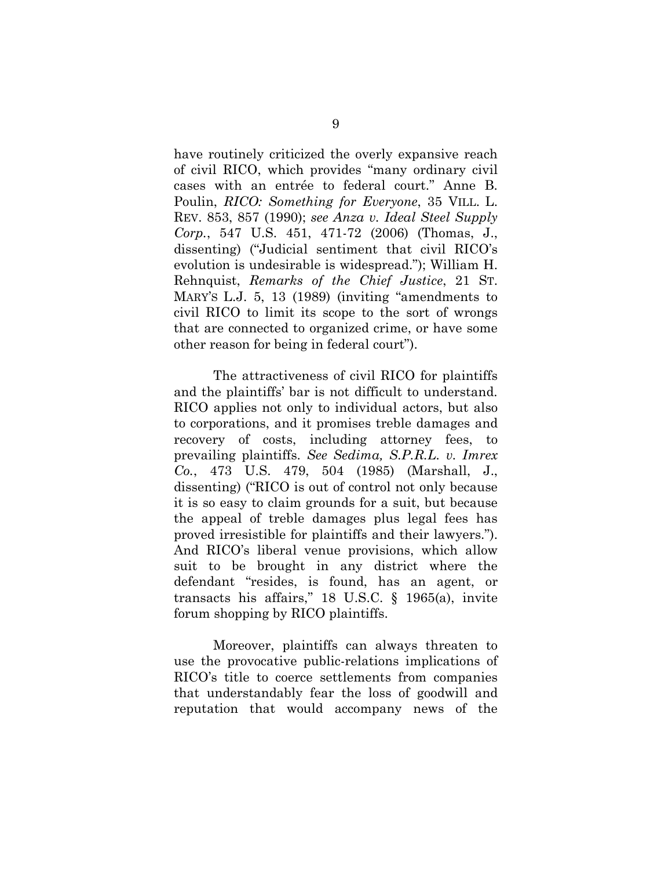have routinely criticized the overly expansive reach of civil RICO, which provides "many ordinary civil cases with an entrée to federal court." Anne B. Poulin, *RICO: Something for Everyone*, 35 VILL. L. REV. 853, 857 (1990); *see Anza v. Ideal Steel Supply Corp.*, 547 U.S. 451, 471-72 (2006) (Thomas, J., dissenting) ("Judicial sentiment that civil RICO's evolution is undesirable is widespread."); William H. Rehnquist, *Remarks of the Chief Justice*, 21 ST. MARY'S L.J. 5, 13 (1989) (inviting "amendments to civil RICO to limit its scope to the sort of wrongs that are connected to organized crime, or have some other reason for being in federal court").

The attractiveness of civil RICO for plaintiffs and the plaintiffs' bar is not difficult to understand. RICO applies not only to individual actors, but also to corporations, and it promises treble damages and recovery of costs, including attorney fees, to prevailing plaintiffs. *See Sedima, S.P.R.L. v. Imrex Co.*, 473 U.S. 479, 504 (1985) (Marshall, J., dissenting) ("RICO is out of control not only because it is so easy to claim grounds for a suit, but because the appeal of treble damages plus legal fees has proved irresistible for plaintiffs and their lawyers."). And RICO's liberal venue provisions, which allow suit to be brought in any district where the defendant "resides, is found, has an agent, or transacts his affairs," 18 U.S.C. § 1965(a), invite forum shopping by RICO plaintiffs.

Moreover, plaintiffs can always threaten to use the provocative public-relations implications of RICO's title to coerce settlements from companies that understandably fear the loss of goodwill and reputation that would accompany news of the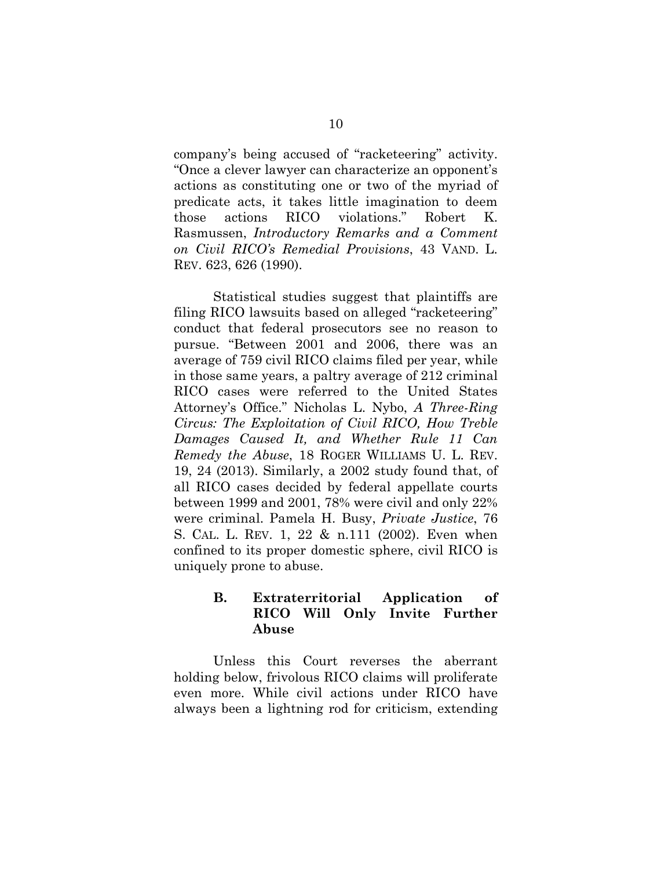company's being accused of "racketeering" activity. "Once a clever lawyer can characterize an opponent's actions as constituting one or two of the myriad of predicate acts, it takes little imagination to deem those actions RICO violations." Robert K. Rasmussen, *Introductory Remarks and a Comment on Civil RICO's Remedial Provisions*, 43 VAND. L. REV. 623, 626 (1990).

Statistical studies suggest that plaintiffs are filing RICO lawsuits based on alleged "racketeering" conduct that federal prosecutors see no reason to pursue. "Between 2001 and 2006, there was an average of 759 civil RICO claims filed per year, while in those same years, a paltry average of 212 criminal RICO cases were referred to the United States Attorney's Office." Nicholas L. Nybo, *A Three-Ring Circus: The Exploitation of Civil RICO, How Treble Damages Caused It, and Whether Rule 11 Can Remedy the Abuse*, 18 ROGER WILLIAMS U. L. REV. 19, 24 (2013). Similarly, a 2002 study found that, of all RICO cases decided by federal appellate courts between 1999 and 2001, 78% were civil and only 22% were criminal. Pamela H. Busy, *Private Justice*, 76 S. CAL. L. REV. 1, 22 & n.111 (2002). Even when confined to its proper domestic sphere, civil RICO is uniquely prone to abuse.

#### **B. Extraterritorial Application of RICO Will Only Invite Further Abuse**

Unless this Court reverses the aberrant holding below, frivolous RICO claims will proliferate even more. While civil actions under RICO have always been a lightning rod for criticism, extending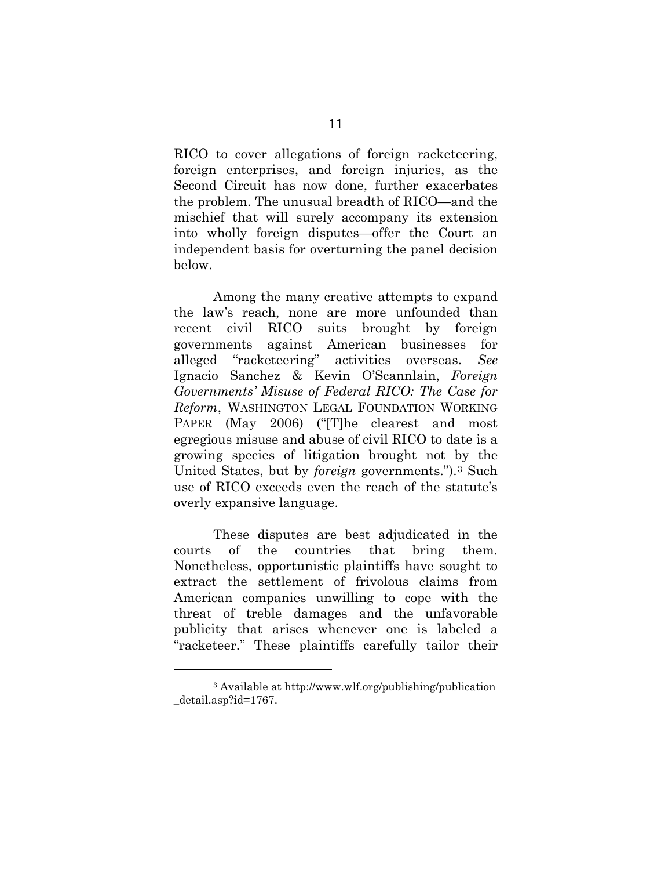RICO to cover allegations of foreign racketeering, foreign enterprises, and foreign injuries, as the Second Circuit has now done, further exacerbates the problem. The unusual breadth of RICO—and the mischief that will surely accompany its extension into wholly foreign disputes—offer the Court an independent basis for overturning the panel decision below.

Among the many creative attempts to expand the law's reach, none are more unfounded than recent civil RICO suits brought by foreign governments against American businesses for alleged "racketeering" activities overseas. *See* Ignacio Sanchez & Kevin O'Scannlain, *Foreign Governments' Misuse of Federal RICO: The Case for Reform*, WASHINGTON LEGAL FOUNDATION WORKING PAPER (May 2006) ("[T]he clearest and most egregious misuse and abuse of civil RICO to date is a growing species of litigation brought not by the United States, but by *foreign* governments.").[3](#page-20-0) Such use of RICO exceeds even the reach of the statute's overly expansive language.

These disputes are best adjudicated in the courts of the countries that bring them. Nonetheless, opportunistic plaintiffs have sought to extract the settlement of frivolous claims from American companies unwilling to cope with the threat of treble damages and the unfavorable publicity that arises whenever one is labeled a "racketeer." These plaintiffs carefully tailor their

 $\overline{a}$ 

<span id="page-20-0"></span><sup>3</sup> Available at http://www.wlf.org/publishing/publication \_detail.asp?id=1767.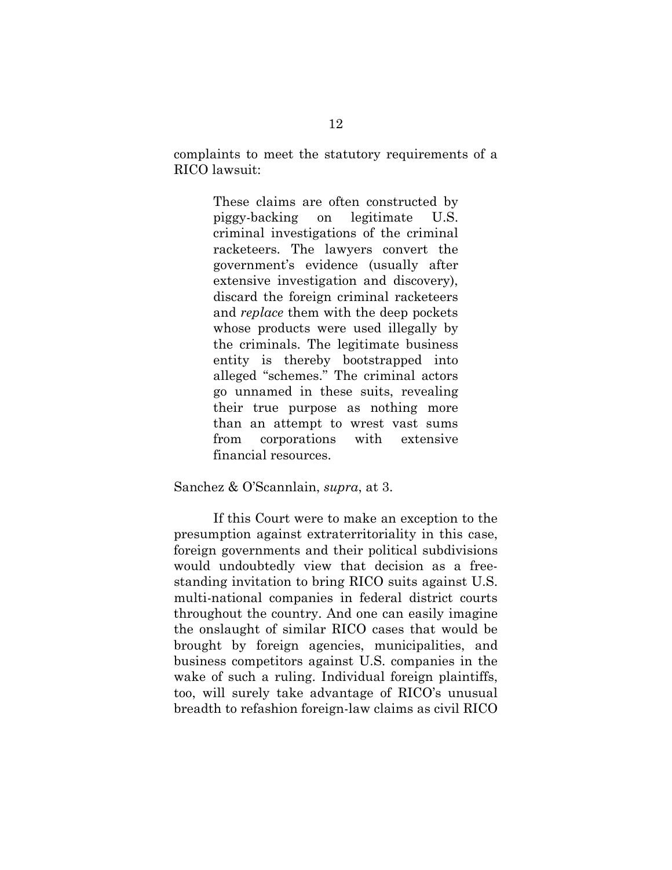complaints to meet the statutory requirements of a RICO lawsuit:

> These claims are often constructed by piggy-backing on legitimate U.S. criminal investigations of the criminal racketeers. The lawyers convert the government's evidence (usually after extensive investigation and discovery), discard the foreign criminal racketeers and *replace* them with the deep pockets whose products were used illegally by the criminals. The legitimate business entity is thereby bootstrapped into alleged "schemes." The criminal actors go unnamed in these suits, revealing their true purpose as nothing more than an attempt to wrest vast sums from corporations with extensive financial resources.

#### Sanchez & O'Scannlain, *supra*, at 3.

If this Court were to make an exception to the presumption against extraterritoriality in this case, foreign governments and their political subdivisions would undoubtedly view that decision as a freestanding invitation to bring RICO suits against U.S. multi-national companies in federal district courts throughout the country. And one can easily imagine the onslaught of similar RICO cases that would be brought by foreign agencies, municipalities, and business competitors against U.S. companies in the wake of such a ruling. Individual foreign plaintiffs, too, will surely take advantage of RICO's unusual breadth to refashion foreign-law claims as civil RICO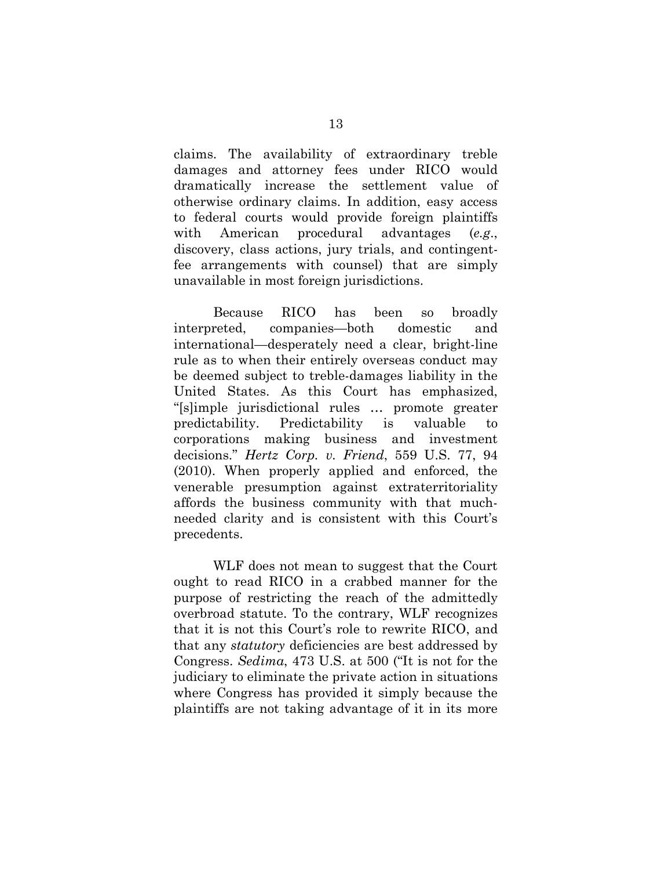claims. The availability of extraordinary treble damages and attorney fees under RICO would dramatically increase the settlement value of otherwise ordinary claims. In addition, easy access to federal courts would provide foreign plaintiffs with American procedural advantages (*e.g*., discovery, class actions, jury trials, and contingentfee arrangements with counsel) that are simply unavailable in most foreign jurisdictions.

Because RICO has been so broadly interpreted, companies—both domestic and international—desperately need a clear, bright-line rule as to when their entirely overseas conduct may be deemed subject to treble-damages liability in the United States. As this Court has emphasized, "[s]imple jurisdictional rules … promote greater predictability. Predictability is valuable to corporations making business and investment decisions." *Hertz Corp. v. Friend*, 559 U.S. 77, 94 (2010). When properly applied and enforced, the venerable presumption against extraterritoriality affords the business community with that muchneeded clarity and is consistent with this Court's precedents.

WLF does not mean to suggest that the Court ought to read RICO in a crabbed manner for the purpose of restricting the reach of the admittedly overbroad statute. To the contrary, WLF recognizes that it is not this Court's role to rewrite RICO, and that any *statutory* deficiencies are best addressed by Congress. *Sedima*, 473 U.S. at 500 ("It is not for the judiciary to eliminate the private action in situations where Congress has provided it simply because the plaintiffs are not taking advantage of it in its more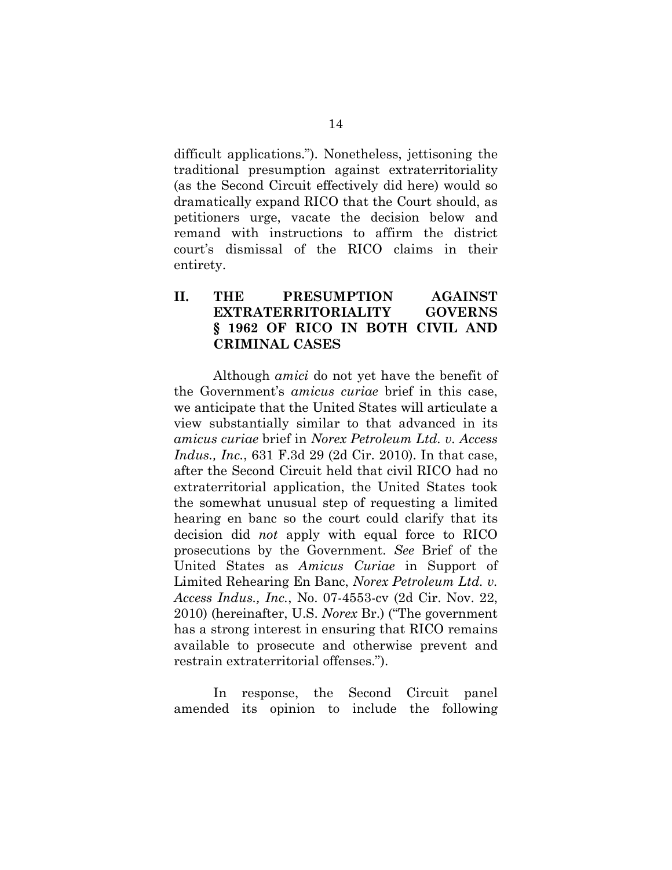difficult applications."). Nonetheless, jettisoning the traditional presumption against extraterritoriality (as the Second Circuit effectively did here) would so dramatically expand RICO that the Court should, as petitioners urge, vacate the decision below and remand with instructions to affirm the district court's dismissal of the RICO claims in their entirety.

## **II. THE PRESUMPTION AGAINST EXTRATERRITORIALITY GOVERNS § 1962 OF RICO IN BOTH CIVIL AND CRIMINAL CASES**

Although *amici* do not yet have the benefit of the Government's *amicus curiae* brief in this case, we anticipate that the United States will articulate a view substantially similar to that advanced in its *amicus curiae* brief in *Norex Petroleum Ltd. v. Access Indus., Inc.*, 631 F.3d 29 (2d Cir. 2010). In that case, after the Second Circuit held that civil RICO had no extraterritorial application, the United States took the somewhat unusual step of requesting a limited hearing en banc so the court could clarify that its decision did *not* apply with equal force to RICO prosecutions by the Government. *See* Brief of the United States as *Amicus Curiae* in Support of Limited Rehearing En Banc, *Norex Petroleum Ltd. v. Access Indus., Inc.*, No. 07-4553-cv (2d Cir. Nov. 22, 2010) (hereinafter, U.S. *Norex* Br.) ("The government has a strong interest in ensuring that RICO remains available to prosecute and otherwise prevent and restrain extraterritorial offenses.").

In response, the Second Circuit panel amended its opinion to include the following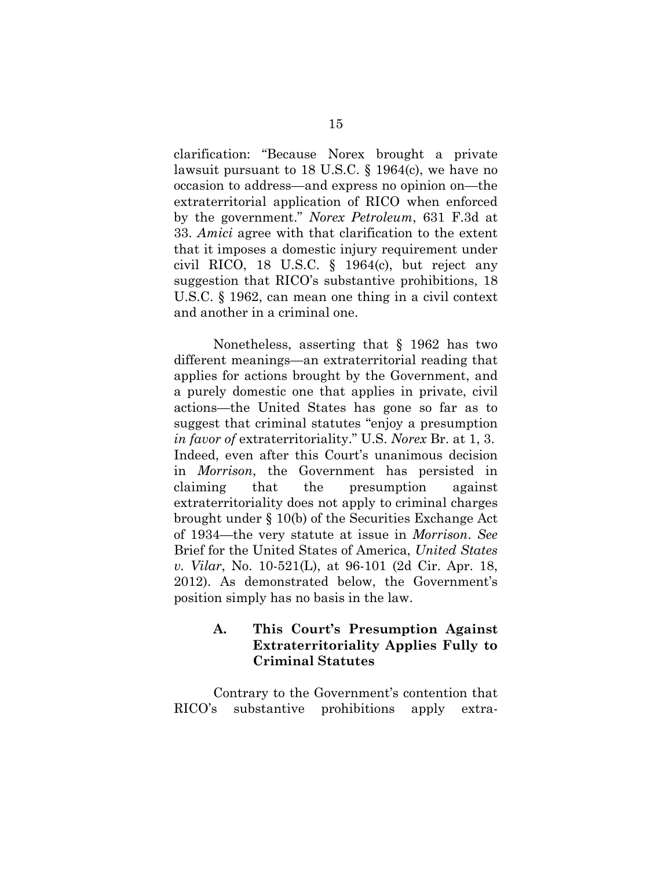clarification: "Because Norex brought a private lawsuit pursuant to 18 U.S.C. § 1964(c), we have no occasion to address—and express no opinion on—the extraterritorial application of RICO when enforced by the government." *Norex Petroleum*, 631 F.3d at 33. *Amici* agree with that clarification to the extent that it imposes a domestic injury requirement under civil RICO, 18 U.S.C. § 1964(c), but reject any suggestion that RICO's substantive prohibitions, 18 U.S.C. § 1962, can mean one thing in a civil context and another in a criminal one.

Nonetheless, asserting that § 1962 has two different meanings—an extraterritorial reading that applies for actions brought by the Government, and a purely domestic one that applies in private, civil actions—the United States has gone so far as to suggest that criminal statutes "enjoy a presumption *in favor of* extraterritoriality." U.S. *Norex* Br. at 1, 3. Indeed, even after this Court's unanimous decision in *Morrison*, the Government has persisted in claiming that the presumption against extraterritoriality does not apply to criminal charges brought under § 10(b) of the Securities Exchange Act of 1934—the very statute at issue in *Morrison*. *See*  Brief for the United States of America, *United States v. Vilar*, No. 10-521(L), at 96-101 (2d Cir. Apr. 18, 2012). As demonstrated below, the Government's position simply has no basis in the law.

#### **A. This Court's Presumption Against Extraterritoriality Applies Fully to Criminal Statutes**

Contrary to the Government's contention that RICO's substantive prohibitions apply extra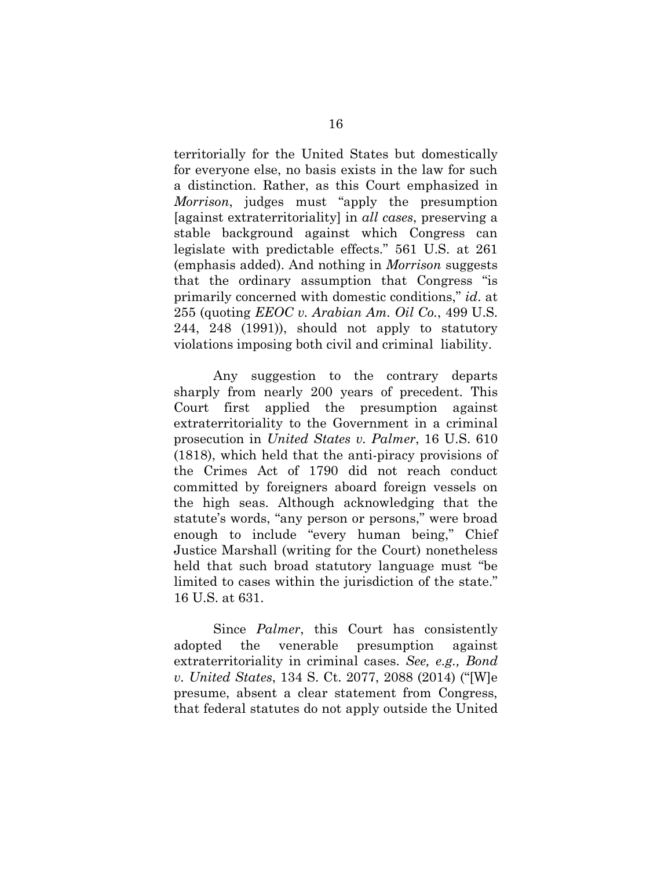territorially for the United States but domestically for everyone else, no basis exists in the law for such a distinction. Rather, as this Court emphasized in *Morrison*, judges must "apply the presumption [against extraterritoriality] in *all cases*, preserving a stable background against which Congress can legislate with predictable effects." 561 U.S. at 261 (emphasis added). And nothing in *Morrison* suggests that the ordinary assumption that Congress "is primarily concerned with domestic conditions," *id*. at 255 (quoting *EEOC v. Arabian Am. Oil Co.*, 499 U.S. 244, 248 (1991)), should not apply to statutory violations imposing both civil and criminal liability.

Any suggestion to the contrary departs sharply from nearly 200 years of precedent. This Court first applied the presumption against extraterritoriality to the Government in a criminal prosecution in *United States v. Palmer*, 16 U.S. 610 (1818), which held that the anti-piracy provisions of the Crimes Act of 1790 did not reach conduct committed by foreigners aboard foreign vessels on the high seas. Although acknowledging that the statute's words, "any person or persons," were broad enough to include "every human being," Chief Justice Marshall (writing for the Court) nonetheless held that such broad statutory language must "be limited to cases within the jurisdiction of the state." 16 U.S. at 631.

Since *Palmer*, this Court has consistently adopted the venerable presumption against extraterritoriality in criminal cases. *See, e.g., Bond v. United States*, 134 S. Ct. 2077, 2088 (2014) ("[W]e presume, absent a clear statement from Congress, that federal statutes do not apply outside the United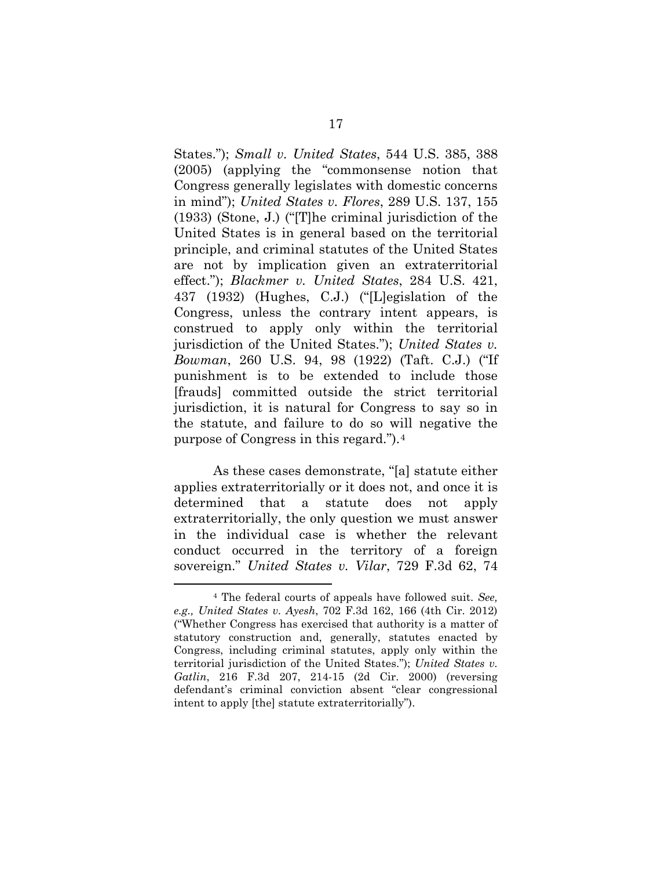States."); *Small v. United States*, 544 U.S. 385, 388 (2005) (applying the "commonsense notion that Congress generally legislates with domestic concerns in mind"); *United States v. Flores*, 289 U.S. 137, 155 (1933) (Stone, J.) ("[T]he criminal jurisdiction of the United States is in general based on the territorial principle, and criminal statutes of the United States are not by implication given an extraterritorial effect."); *Blackmer v. United States*, 284 U.S. 421, 437 (1932) (Hughes, C.J.) ("[L]egislation of the Congress, unless the contrary intent appears, is construed to apply only within the territorial jurisdiction of the United States."); *United States v. Bowman*, 260 U.S. 94, 98 (1922) (Taft. C.J.) ("If punishment is to be extended to include those [frauds] committed outside the strict territorial jurisdiction, it is natural for Congress to say so in the statute, and failure to do so will negative the purpose of Congress in this regard.").[4](#page-26-0)

As these cases demonstrate, "[a] statute either applies extraterritorially or it does not, and once it is determined that a statute does not apply extraterritorially, the only question we must answer in the individual case is whether the relevant conduct occurred in the territory of a foreign sovereign." *United States v. Vilar*, 729 F.3d 62, 74

 $\overline{a}$ 

<span id="page-26-0"></span><sup>4</sup> The federal courts of appeals have followed suit. *See, e.g., United States v. Ayesh*, 702 F.3d 162, 166 (4th Cir. 2012) ("Whether Congress has exercised that authority is a matter of statutory construction and, generally, statutes enacted by Congress, including criminal statutes, apply only within the territorial jurisdiction of the United States."); *United States v. Gatlin*, 216 F.3d 207, 214-15 (2d Cir. 2000) (reversing defendant's criminal conviction absent "clear congressional intent to apply [the] statute extraterritorially").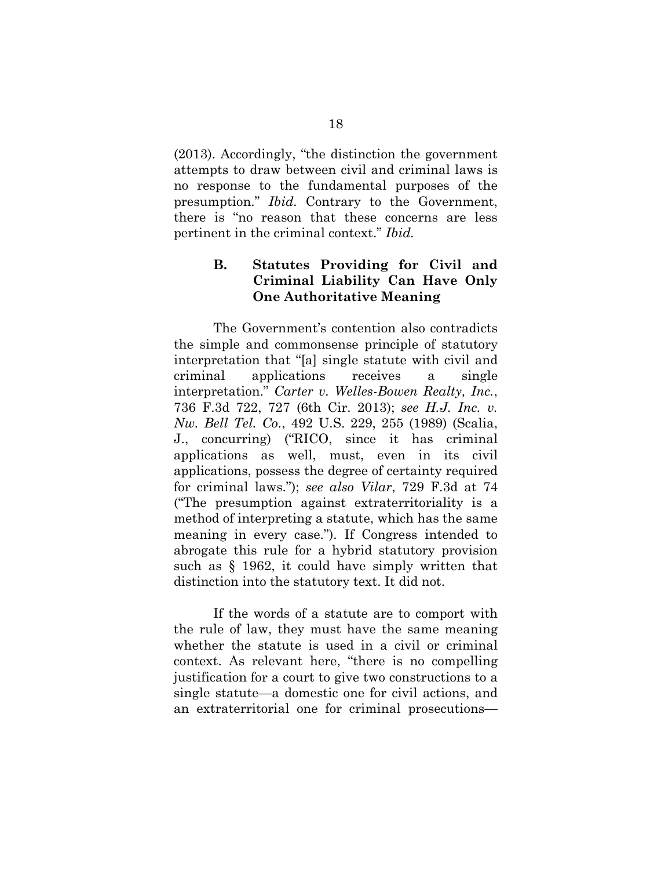(2013). Accordingly, "the distinction the government attempts to draw between civil and criminal laws is no response to the fundamental purposes of the presumption." *Ibid.* Contrary to the Government, there is "no reason that these concerns are less pertinent in the criminal context." *Ibid.*

#### **B. Statutes Providing for Civil and Criminal Liability Can Have Only One Authoritative Meaning**

The Government's contention also contradicts the simple and commonsense principle of statutory interpretation that "[a] single statute with civil and criminal applications receives a single interpretation." *Carter v. Welles-Bowen Realty, Inc.*, 736 F.3d 722, 727 (6th Cir. 2013); *see H.J. Inc. v. Nw. Bell Tel. Co.*, 492 U.S. 229, 255 (1989) (Scalia, J., concurring) ("RICO, since it has criminal applications as well, must, even in its civil applications, possess the degree of certainty required for criminal laws."); *see also Vilar*, 729 F.3d at 74 ("The presumption against extraterritoriality is a method of interpreting a statute, which has the same meaning in every case."). If Congress intended to abrogate this rule for a hybrid statutory provision such as § 1962, it could have simply written that distinction into the statutory text. It did not.

If the words of a statute are to comport with the rule of law, they must have the same meaning whether the statute is used in a civil or criminal context. As relevant here, "there is no compelling justification for a court to give two constructions to a single statute—a domestic one for civil actions, and an extraterritorial one for criminal prosecutions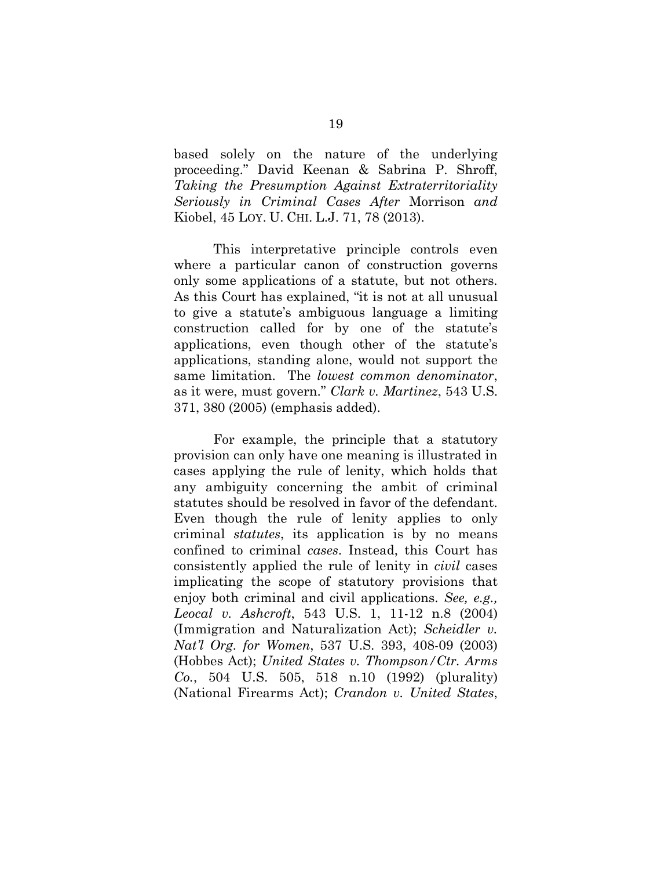based solely on the nature of the underlying proceeding." David Keenan & Sabrina P. Shroff, *Taking the Presumption Against Extraterritoriality Seriously in Criminal Cases After* Morrison *and*  Kiobel, 45 LOY. U. CHI. L.J. 71, 78 (2013).

This interpretative principle controls even where a particular canon of construction governs only some applications of a statute, but not others. As this Court has explained, "it is not at all unusual to give a statute's ambiguous language a limiting construction called for by one of the statute's applications, even though other of the statute's applications, standing alone, would not support the same limitation. The *lowest common denominator*, as it were, must govern." *Clark v. Martinez*, 543 U.S. 371, 380 (2005) (emphasis added).

For example, the principle that a statutory provision can only have one meaning is illustrated in cases applying the rule of lenity, which holds that any ambiguity concerning the ambit of criminal statutes should be resolved in favor of the defendant. Even though the rule of lenity applies to only criminal *statutes*, its application is by no means confined to criminal *cases*. Instead, this Court has consistently applied the rule of lenity in *civil* cases implicating the scope of statutory provisions that enjoy both criminal and civil applications. *See, e.g., Leocal v. Ashcroft*, 543 U.S. 1, 11-12 n.8 (2004) (Immigration and Naturalization Act); *Scheidler v. Nat'l Org. for Women*, 537 U.S. 393, 408-09 (2003) (Hobbes Act); *United States v. Thompson/Ctr. Arms Co.*, 504 U.S. 505, 518 n.10 (1992) (plurality) (National Firearms Act); *Crandon v. United States*,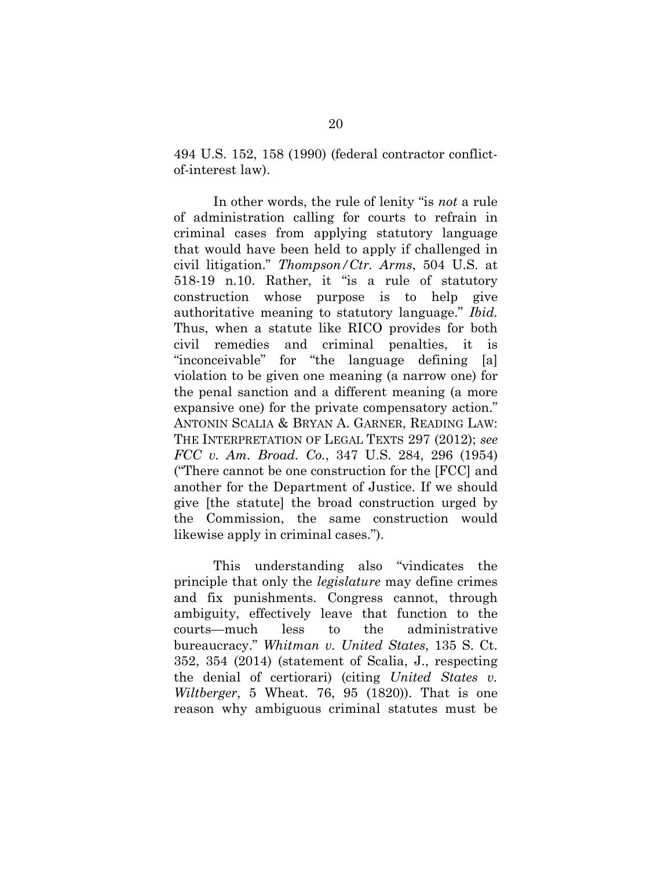494 U.S. 152, 158 (1990) (federal contractor conflictof-interest law).

In other words, the rule of lenity "is *not* a rule of administration calling for courts to refrain in criminal cases from applying statutory language that would have been held to apply if challenged in civil litigation." *Thompson/Ctr. Arms*, 504 U.S. at 518-19 n.10. Rather, it "is a rule of statutory construction whose purpose is to help give authoritative meaning to statutory language." *Ibid.* Thus, when a statute like RICO provides for both civil remedies and criminal penalties, it is "inconceivable" for "the language defining [a] violation to be given one meaning (a narrow one) for the penal sanction and a different meaning (a more expansive one) for the private compensatory action." ANTONIN SCALIA & BRYAN A. GARNER, READING LAW: THE INTERPRETATION OF LEGAL TEXTS 297 (2012); *see FCC v. Am. Broad. Co.*, 347 U.S. 284, 296 (1954) ("There cannot be one construction for the [FCC] and another for the Department of Justice. If we should give [the statute] the broad construction urged by the Commission, the same construction would likewise apply in criminal cases.").

This understanding also "vindicates the principle that only the *legislature* may define crimes and fix punishments. Congress cannot, through ambiguity, effectively leave that function to the courts—much less to the administrative bureaucracy." *Whitman v. United States*, 135 S. Ct. 352, 354 (2014) (statement of Scalia, J., respecting the denial of certiorari) (citing *United States v. Wiltberger*, 5 Wheat. 76, 95 (1820)). That is one reason why ambiguous criminal statutes must be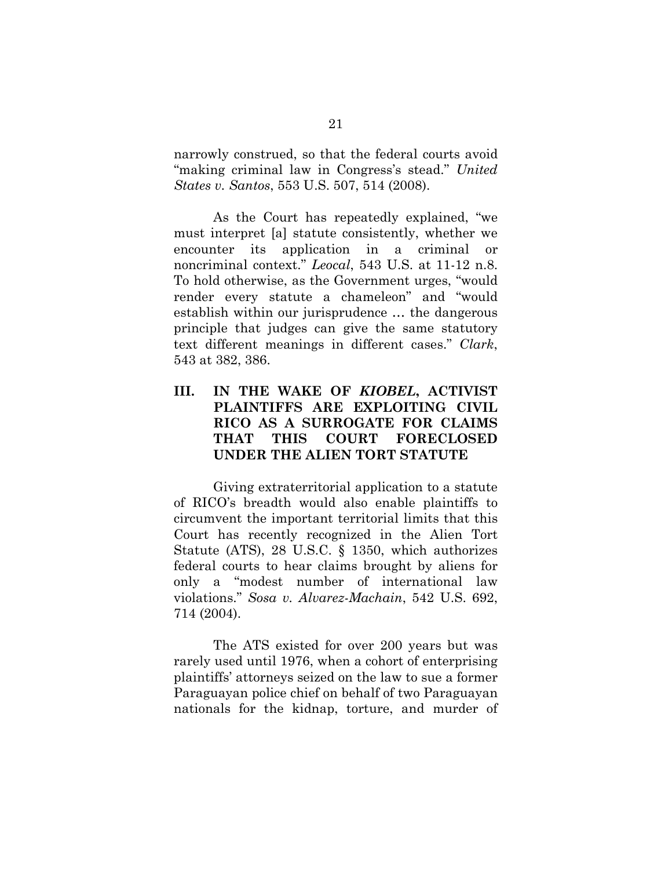narrowly construed, so that the federal courts avoid "making criminal law in Congress's stead." *United States v. Santos*, 553 U.S. 507, 514 (2008).

As the Court has repeatedly explained, "we must interpret [a] statute consistently, whether we encounter its application in a criminal or noncriminal context." *Leocal*, 543 U.S. at 11-12 n.8. To hold otherwise, as the Government urges, "would render every statute a chameleon" and "would establish within our jurisprudence … the dangerous principle that judges can give the same statutory text different meanings in different cases." *Clark*, 543 at 382, 386.

### **III. IN THE WAKE OF** *KIOBEL***, ACTIVIST PLAINTIFFS ARE EXPLOITING CIVIL RICO AS A SURROGATE FOR CLAIMS THAT THIS COURT FORECLOSED UNDER THE ALIEN TORT STATUTE**

Giving extraterritorial application to a statute of RICO's breadth would also enable plaintiffs to circumvent the important territorial limits that this Court has recently recognized in the Alien Tort Statute (ATS), 28 U.S.C. § 1350, which authorizes federal courts to hear claims brought by aliens for only a "modest number of international law violations." *Sosa v. Alvarez-Machain*, 542 U.S. 692, 714 (2004).

The ATS existed for over 200 years but was rarely used until 1976, when a cohort of enterprising plaintiffs' attorneys seized on the law to sue a former Paraguayan police chief on behalf of two Paraguayan nationals for the kidnap, torture, and murder of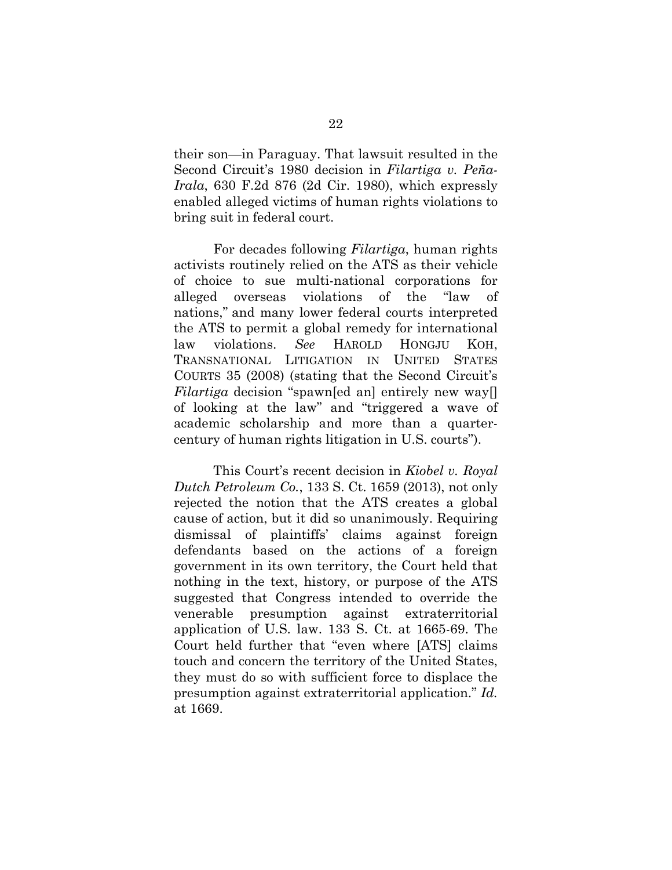their son—in Paraguay. That lawsuit resulted in the Second Circuit's 1980 decision in *Filartiga v. Peña-Irala*, 630 F.2d 876 (2d Cir. 1980), which expressly enabled alleged victims of human rights violations to bring suit in federal court.

For decades following *Filartiga*, human rights activists routinely relied on the ATS as their vehicle of choice to sue multi-national corporations for alleged overseas violations of the "law of nations," and many lower federal courts interpreted the ATS to permit a global remedy for international law violations. *See* HAROLD HONGJU KOH, TRANSNATIONAL LITIGATION IN UNITED STATES COURTS 35 (2008) (stating that the Second Circuit's *Filartiga* decision "spawn[ed an] entirely new way[] of looking at the law" and "triggered a wave of academic scholarship and more than a quartercentury of human rights litigation in U.S. courts").

This Court's recent decision in *Kiobel v. Royal Dutch Petroleum Co.*, 133 S. Ct. 1659 (2013), not only rejected the notion that the ATS creates a global cause of action, but it did so unanimously. Requiring dismissal of plaintiffs' claims against foreign defendants based on the actions of a foreign government in its own territory, the Court held that nothing in the text, history, or purpose of the ATS suggested that Congress intended to override the venerable presumption against extraterritorial application of U.S. law. 133 S. Ct. at 1665-69. The Court held further that "even where [ATS] claims touch and concern the territory of the United States, they must do so with sufficient force to displace the presumption against extraterritorial application." *Id.*  at 1669.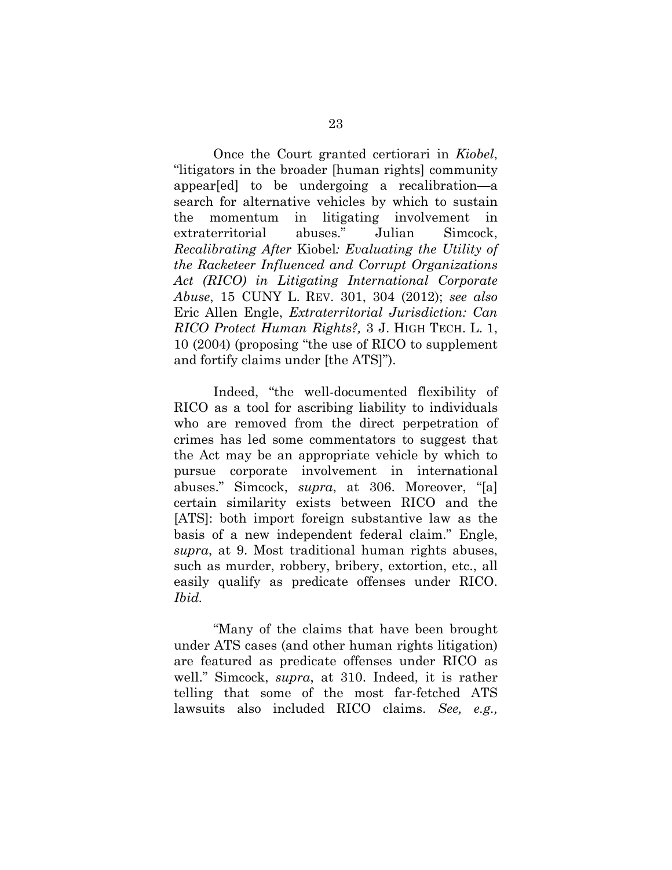Once the Court granted certiorari in *Kiobel*, "litigators in the broader [human rights] community appear[ed] to be undergoing a recalibration—a search for alternative vehicles by which to sustain the momentum in litigating involvement in extraterritorial abuses." Julian Simcock, *Recalibrating After* Kiobel*: Evaluating the Utility of the Racketeer Influenced and Corrupt Organizations Act (RICO) in Litigating International Corporate Abuse*, 15 CUNY L. REV. 301, 304 (2012); *see also* Eric Allen Engle, *Extraterritorial Jurisdiction: Can RICO Protect Human Rights?,* 3 J. HIGH TECH. L. 1, 10 (2004) (proposing "the use of RICO to supplement and fortify claims under [the ATS]").

Indeed, "the well-documented flexibility of RICO as a tool for ascribing liability to individuals who are removed from the direct perpetration of crimes has led some commentators to suggest that the Act may be an appropriate vehicle by which to pursue corporate involvement in international abuses." Simcock, *supra*, at 306. Moreover, "[a] certain similarity exists between RICO and the [ATS]: both import foreign substantive law as the basis of a new independent federal claim." Engle, *supra*, at 9. Most traditional human rights abuses, such as murder, robbery, bribery, extortion, etc., all easily qualify as predicate offenses under RICO. *Ibid.*

"Many of the claims that have been brought under ATS cases (and other human rights litigation) are featured as predicate offenses under RICO as well." Simcock, *supra*, at 310. Indeed, it is rather telling that some of the most far-fetched ATS lawsuits also included RICO claims. *See, e.g.,*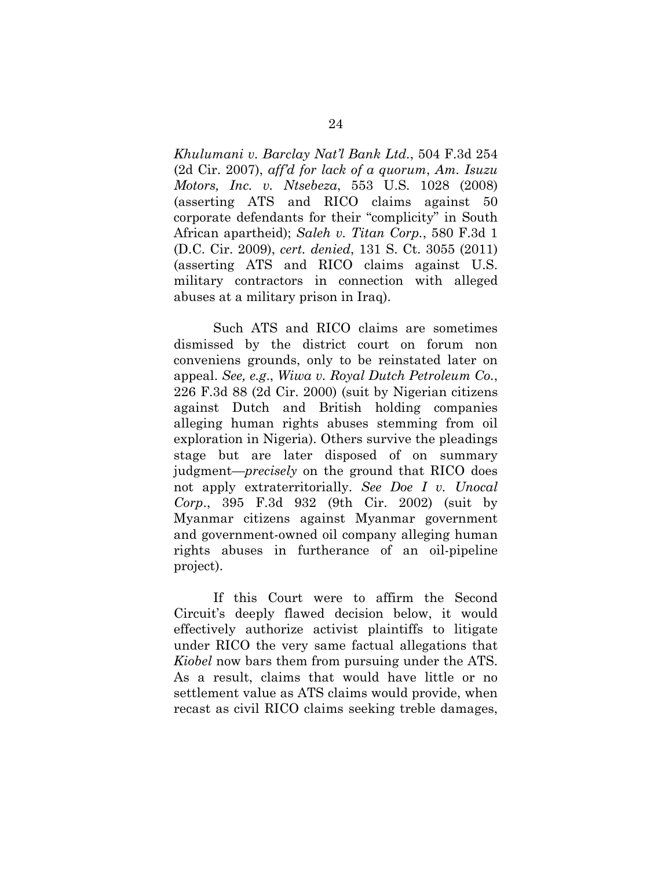*Khulumani v. Barclay Nat'l Bank Ltd.*, 504 F.3d 254 (2d Cir. 2007), *aff'd for lack of a quorum*, *Am. Isuzu Motors, Inc. v. Ntsebeza*, 553 U.S. 1028 (2008) (asserting ATS and RICO claims against 50 corporate defendants for their "complicity" in South African apartheid); *Saleh v. Titan Corp.*, 580 F.3d 1 (D.C. Cir. 2009), *cert. denied*, 131 S. Ct. 3055 (2011) (asserting ATS and RICO claims against U.S. military contractors in connection with alleged abuses at a military prison in Iraq).

Such ATS and RICO claims are sometimes dismissed by the district court on forum non conveniens grounds, only to be reinstated later on appeal. *See, e.g*., *Wiwa v. Royal Dutch Petroleum Co.*, 226 F.3d 88 (2d Cir. 2000) (suit by Nigerian citizens against Dutch and British holding companies alleging human rights abuses stemming from oil exploration in Nigeria). Others survive the pleadings stage but are later disposed of on summary judgment—*precisely* on the ground that RICO does not apply extraterritorially. *See Doe I v. Unocal Corp*., 395 F.3d 932 (9th Cir. 2002) (suit by Myanmar citizens against Myanmar government and government-owned oil company alleging human rights abuses in furtherance of an oil-pipeline project).

If this Court were to affirm the Second Circuit's deeply flawed decision below, it would effectively authorize activist plaintiffs to litigate under RICO the very same factual allegations that *Kiobel* now bars them from pursuing under the ATS. As a result, claims that would have little or no settlement value as ATS claims would provide, when recast as civil RICO claims seeking treble damages,